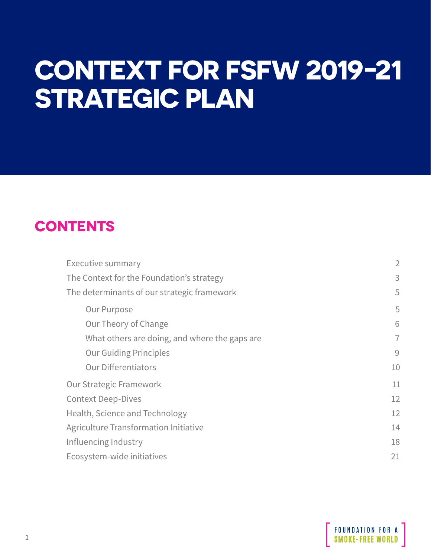# **CONTEXT FOR FSFW 2019-21 STRATEGIC PLAN**

## **CONTENTS**

| $\overline{2}$ |
|----------------|
| 3              |
| 5              |
| 5              |
| 6              |
| $\overline{7}$ |
| 9              |
| 10             |
| 11             |
| 12             |
| 12             |
| 14             |
| 18             |
| 21             |
|                |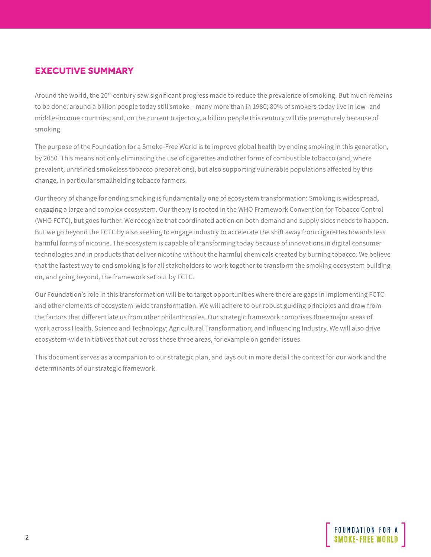## <span id="page-1-0"></span>**EXECUTIVE SUMMARY**

Around the world, the 20<sup>th</sup> century saw significant progress made to reduce the prevalence of smoking. But much remains to be done: around a billion people today still smoke – many more than in 1980; 80% of smokers today live in low- and middle-income countries; and, on the current trajectory, a billion people this century will die prematurely because of smoking.

The purpose of the Foundation for a Smoke-Free World is to improve global health by ending smoking in this generation, by 2050. This means not only eliminating the use of cigarettes and other forms of combustible tobacco (and, where prevalent, unrefined smokeless tobacco preparations), but also supporting vulnerable populations affected by this change, in particular smallholding tobacco farmers.

Our theory of change for ending smoking is fundamentally one of ecosystem transformation: Smoking is widespread, engaging a large and complex ecosystem. Our theory is rooted in the WHO Framework Convention for Tobacco Control (WHO FCTC), but goes further. We recognize that coordinated action on both demand and supply sides needs to happen. But we go beyond the FCTC by also seeking to engage industry to accelerate the shift away from cigarettes towards less harmful forms of nicotine. The ecosystem is capable of transforming today because of innovations in digital consumer technologies and in products that deliver nicotine without the harmful chemicals created by burning tobacco. We believe that the fastest way to end smoking is for all stakeholders to work together to transform the smoking ecosystem building on, and going beyond, the framework set out by FCTC.

Our Foundation's role in this transformation will be to target opportunities where there are gaps in implementing FCTC and other elements of ecosystem-wide transformation. We will adhere to our robust guiding principles and draw from the factors that differentiate us from other philanthropies. Our strategic framework comprises three major areas of work across Health, Science and Technology; Agricultural Transformation; and Influencing Industry. We will also drive ecosystem-wide initiatives that cut across these three areas, for example on gender issues.

This document serves as a companion to our strategic plan, and lays out in more detail the context for our work and the determinants of our strategic framework.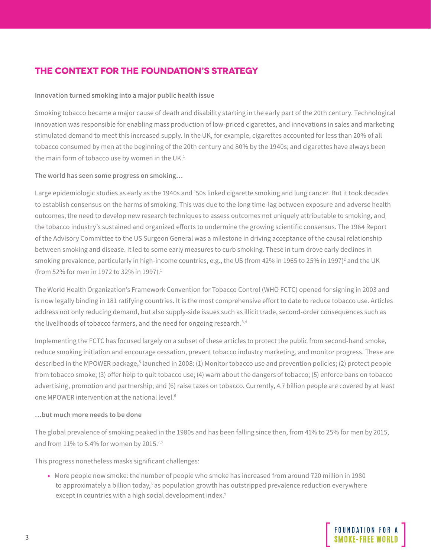## <span id="page-2-0"></span>**THE CONTEXT FOR THE FOUNDATION'S STRATEGY**

#### **Innovation turned smoking into a major public health issue**

Smoking tobacco became a major cause of death and disability starting in the early part of the 20th century. Technological innovation was responsible for enabling mass production of low-priced cigarettes, and innovations in sales and marketing stimulated demand to meet this increased supply. In the UK, for example, cigarettes accounted for less than 20% of all tobacco consumed by men at the beginning of the 20th century and 80% by the 1940s; and cigarettes have always been the main form of tobacco use by women in the UK.<sup>1</sup>

#### **The world has seen some progress on smoking…**

Large epidemiologic studies as early as the 1940s and '50s linked cigarette smoking and lung cancer. But it took decades to establish consensus on the harms of smoking. This was due to the long time-lag between exposure and adverse health outcomes, the need to develop new research techniques to assess outcomes not uniquely attributable to smoking, and the tobacco industry's sustained and organized efforts to undermine the growing scientific consensus. The 1964 Report of the Advisory Committee to the US Surgeon General was a milestone in driving acceptance of the causal relationship between smoking and disease. It led to some early measures to curb smoking. These in turn drove early declines in smoking prevalence, particularly in high-income countries, e.g., the US (from 42% in 1965 to 25% in 1997)<sup>2</sup> and the UK (from 52% for men in 1972 to 32% in 1997).<sup>1</sup>

The World Health Organization's Framework Convention for Tobacco Control (WHO FCTC) opened for signing in 2003 and is now legally binding in 181 ratifying countries. It is the most comprehensive effort to date to reduce tobacco use. Articles address not only reducing demand, but also supply-side issues such as illicit trade, second-order consequences such as the livelihoods of tobacco farmers, and the need for ongoing research.<sup>3,4</sup>

Implementing the FCTC has focused largely on a subset of these articles to protect the public from second-hand smoke, reduce smoking initiation and encourage cessation, prevent tobacco industry marketing, and monitor progress. These are described in the MPOWER package,<sup>5</sup> launched in 2008: (1) Monitor tobacco use and prevention policies; (2) protect people from tobacco smoke; (3) offer help to quit tobacco use; (4) warn about the dangers of tobacco; (5) enforce bans on tobacco advertising, promotion and partnership; and (6) raise taxes on tobacco. Currently, 4.7 billion people are covered by at least one MPOWER intervention at the national level.6

#### **…but much more needs to be done**

The global prevalence of smoking peaked in the 1980s and has been falling since then, from 41% to 25% for men by 2015, and from  $11\%$  to 5.4% for women by 2015.<sup>7,8</sup>

This progress nonetheless masks significant challenges:

• More people now smoke: the number of people who smoke has increased from around 720 million in 1980 to approximately a billion today,<sup>6</sup> as population growth has outstripped prevalence reduction everywhere except in countries with a high social development index.<sup>9</sup>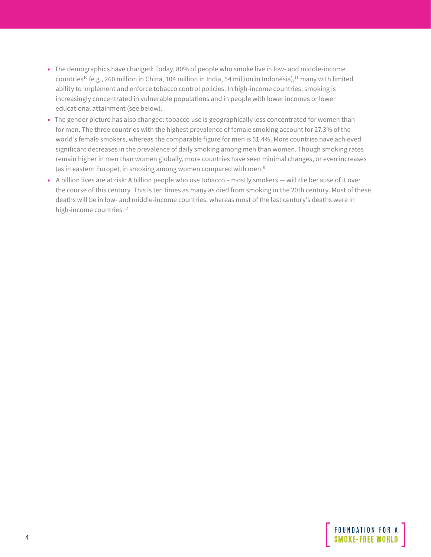- The demographics have changed: Today, 80% of people who smoke live in low- and middle-income countries<sup>10</sup> (e.g., 260 million in China, 104 million in India, 54 million in Indonesia),<sup>11</sup> many with limited ability to implement and enforce tobacco control policies. In high-income countries, smoking is increasingly concentrated in vulnerable populations and in people with lower incomes or lower educational attainment (see below).
- The gender picture has also changed: tobacco use is geographically less concentrated for women than for men. The three countries with the highest prevalence of female smoking account for 27.3% of the world's female smokers, whereas the comparable figure for men is 51.4%. More countries have achieved significant decreases in the prevalence of daily smoking among men than women. Though smoking rates remain higher in men than women globally, more countries have seen minimal changes, or even increases (as in eastern Europe), in smoking among women compared with men.8
- A billion lives are at risk: A billion people who use tobacco mostly smokers will die because of it over the course of this century. This is ten times as many as died from smoking in the 20th century. Most of these deaths will be in low- and middle-income countries, whereas most of the last century's deaths were in high-income countries.<sup>12</sup>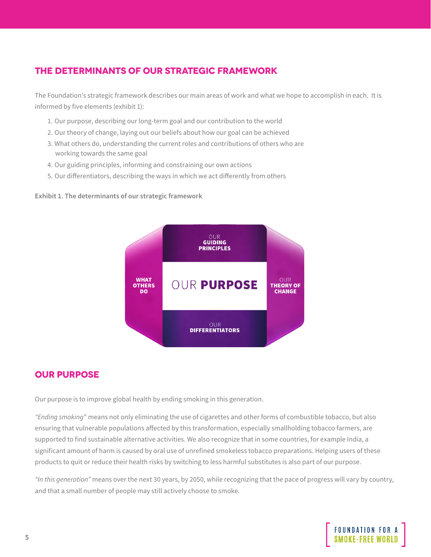## <span id="page-4-0"></span>**THE DETERMINANTS OF OUR STRATEGIC FRAMEWORK**

The Foundation's strategic framework describes our main areas of work and what we hope to accomplish in each. It is informed by five elements (exhibit 1):

- 1. Our purpose, describing our long-term goal and our contribution to the world
- 2. Our theory of change, laying out our beliefs about how our goal can be achieved
- 3. What others do, understanding the current roles and contributions of others who are working towards the same goal
- 4. Our guiding principles, informing and constraining our own actions
- 5. Our differentiators, describing the ways in which we act differently from others

#### **Exhibit 1. The determinants of our strategic framework**



### **OUR PURPOSE**

Our purpose is to improve global health by ending smoking in this generation.

*"Ending smoking*" means not only eliminating the use of cigarettes and other forms of combustible tobacco, but also ensuring that vulnerable populations affected by this transformation, especially smallholding tobacco farmers, are supported to find sustainable alternative activities. We also recognize that in some countries, for example India, a significant amount of harm is caused by oral use of unrefined smokeless tobacco preparations. Helping users of these products to quit or reduce their health risks by switching to less harmful substitutes is also part of our purpose.

*"In this generation"* means over the next 30 years, by 2050, while recognizing that the pace of progress will vary by country, and that a small number of people may still actively choose to smoke.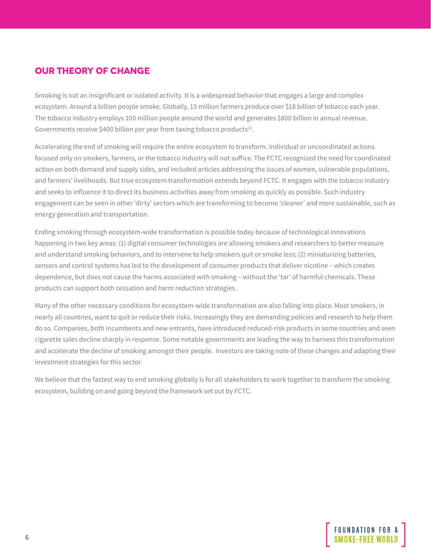## <span id="page-5-0"></span>**OUR THEORY OF CHANGE**

Smoking is not an insignificant or isolated activity. It is a widespread behavior that engages a large and complex ecosystem. Around a billion people smoke. Globally, 15 million farmers produce over \$18 billion of tobacco each year. The tobacco industry employs 100 million people around the world and generates \$800 billion in annual revenue. Governments receive \$400 billion per year from taxing tobacco products<sup>13</sup>.

Accelerating the end of smoking will require the entire ecosystem to transform. Individual or uncoordinated actions focused only on smokers, farmers, or the tobacco industry will not suffice. The FCTC recognized the need for coordinated action on both demand and supply sides, and included articles addressing the issues of women, vulnerable populations, and farmers' livelihoods. But true ecosystem transformation extends beyond FCTC. It engages with the tobacco industry and seeks to influence it to direct its business activities away from smoking as quickly as possible. Such industry engagement can be seen in other 'dirty' sectors which are transforming to become 'cleaner' and more sustainable, such as energy generation and transportation.

Ending smoking through ecosystem-wide transformation is possible today because of technological innovations happening in two key areas: (1) digital consumer technologies are allowing smokers and researchers to better measure and understand smoking behaviors, and to intervene to help smokers quit or smoke less; (2) miniaturizing batteries, sensors and control systems has led to the development of consumer products that deliver nicotine – which creates dependence, but does not cause the harms associated with smoking – without the 'tar' of harmful chemicals. These products can support both cessation and harm reduction strategies.

Many of the other necessary conditions for ecosystem-wide transformation are also falling into place. Most smokers, in nearly all countries, want to quit or reduce their risks. Increasingly they are demanding policies and research to help them do so. Companies, both incumbents and new entrants, have introduced reduced-risk products in some countries and seen cigarette sales decline sharply in response. Some notable governments are leading the way to harness this transformation and accelerate the decline of smoking amongst their people. Investors are taking note of these changes and adapting their investment strategies for this sector.

We believe that the fastest way to end smoking globally is for all stakeholders to work together to transform the smoking ecosystem, building on and going beyond the framework set out by FCTC.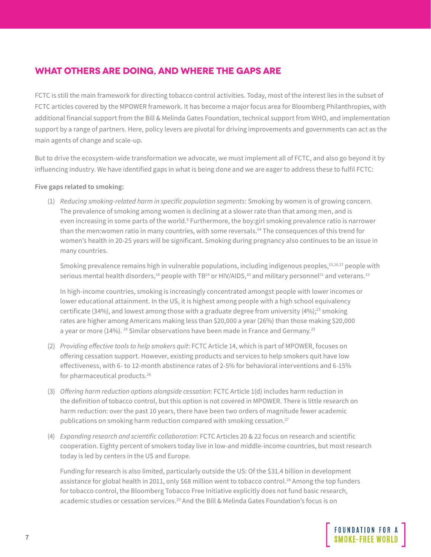## <span id="page-6-0"></span>**WHAT OTHERS ARE DOING, AND WHERE THE GAPS ARE**

FCTC is still the main framework for directing tobacco control activities. Today, most of the interest lies in the subset of FCTC articles covered by the MPOWER framework. It has become a major focus area for Bloomberg Philanthropies, with additional financial support from the Bill & Melinda Gates Foundation, technical support from WHO, and implementation support by a range of partners. Here, policy levers are pivotal for driving improvements and governments can act as the main agents of change and scale-up.

But to drive the ecosystem-wide transformation we advocate, we must implement all of FCTC, and also go beyond it by influencing industry. We have identified gaps in what is being done and we are eager to address these to fulfil FCTC:

#### **Five gaps related to smoking:**

(1) *Reducing smoking-related harm in specific population segments*: Smoking by women is of growing concern. The prevalence of smoking among women is declining at a slower rate than that among men, and is even increasing in some parts of the world.<sup>8</sup> Furthermore, the boy:girl smoking prevalence ratio is narrower than the men: women ratio in many countries, with some reversals.<sup>14</sup> The consequences of this trend for women's health in 20-25 years will be significant. Smoking during pregnancy also continues to be an issue in many countries.

Smoking prevalence remains high in vulnerable populations, including indigenous peoples,<sup>15,16,17</sup> people with serious mental health disorders,<sup>18</sup> people with TB<sup>19</sup> or HIV/AIDS,<sup>20</sup> and military personnel<sup>21</sup> and veterans.<sup>22</sup>

In high-income countries, smoking is increasingly concentrated amongst people with lower incomes or lower educational attainment. In the US, it is highest among people with a high school equivalency certificate (34%), and lowest among those with a graduate degree from university (4%);<sup>23</sup> smoking rates are higher among Americans making less than \$20,000 a year (26%) than those making \$20,000 a year or more (14%). <sup>24</sup> Similar observations have been made in France and Germany.<sup>25</sup>

- (2) *Providing effective tools to help smokers quit*: FCTC Article 14, which is part of MPOWER, focuses on offering cessation support. However, existing products and services to help smokers quit have low effectiveness, with 6- to 12-month abstinence rates of 2-5% for behavioral interventions and 6-15% for pharmaceutical products.26
- (3) *Offering harm reduction options alongside cessation*: FCTC Article 1(d) includes harm reduction in the definition of tobacco control, but this option is not covered in MPOWER. There is little research on harm reduction: over the past 10 years, there have been two orders of magnitude fewer academic publications on smoking harm reduction compared with smoking cessation.<sup>27</sup>
- (4) *Expanding research and scientific collaboration*: FCTC Articles 20 & 22 focus on research and scientific cooperation. Eighty percent of smokers today live in low-and middle-income countries, but most research today is led by centers in the US and Europe.

Funding for research is also limited, particularly outside the US: Of the \$31.4 billion in development assistance for global health in 2011, only \$68 million went to tobacco control.<sup>28</sup> Among the top funders for tobacco control, the Bloomberg Tobacco Free Initiative explicitly does not fund basic research, academic studies or cessation services.29 And the Bill & Melinda Gates Foundation's focus is on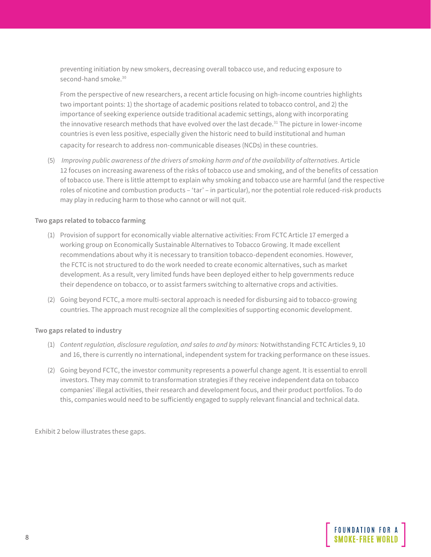preventing initiation by new smokers, decreasing overall tobacco use, and reducing exposure to second-hand smoke.<sup>30</sup>

From the perspective of new researchers, a recent article focusing on high-income countries highlights two important points: 1) the shortage of academic positions related to tobacco control, and 2) the importance of seeking experience outside traditional academic settings, along with incorporating the innovative research methods that have evolved over the last decade.<sup>31</sup> The picture in lower-income countries is even less positive, especially given the historic need to build institutional and human capacity for research to address non-communicable diseases (NCDs) in these countries.

(5) *Improving public awareness of the drivers of smoking harm and of the availability of alternatives*. Article 12 focuses on increasing awareness of the risks of tobacco use and smoking, and of the benefits of cessation of tobacco use. There is little attempt to explain why smoking and tobacco use are harmful (and the respective roles of nicotine and combustion products – 'tar' – in particular), nor the potential role reduced-risk products may play in reducing harm to those who cannot or will not quit.

#### **Two gaps related to tobacco farming**

- (1) Provision of support for economically viable alternative activities: From FCTC Article 17 emerged a working group on Economically Sustainable Alternatives to Tobacco Growing. It made excellent recommendations about why it is necessary to transition tobacco-dependent economies. However, the FCTC is not structured to do the work needed to create economic alternatives, such as market development. As a result, very limited funds have been deployed either to help governments reduce their dependence on tobacco, or to assist farmers switching to alternative crops and activities.
- (2) Going beyond FCTC, a more multi-sectoral approach is needed for disbursing aid to tobacco-growing countries. The approach must recognize all the complexities of supporting economic development.

#### **Two gaps related to industry**

- (1) *Content regulation, disclosure regulation, and sales to and by minors:* Notwithstanding FCTC Articles 9, 10 and 16, there is currently no international, independent system for tracking performance on these issues.
- (2) Going beyond FCTC, the investor community represents a powerful change agent. It is essential to enroll investors. They may commit to transformation strategies if they receive independent data on tobacco companies' illegal activities, their research and development focus, and their product portfolios. To do this, companies would need to be sufficiently engaged to supply relevant financial and technical data.

Exhibit 2 below illustrates these gaps.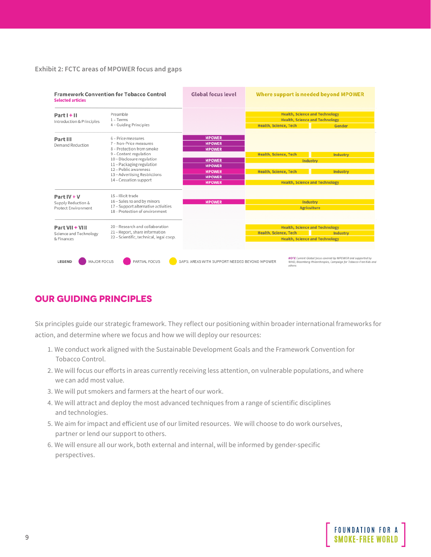#### <span id="page-8-0"></span>**Exhibit 2: FCTC areas of MPOWER focus and gaps**

| <b>Framework Convention for Tobacco Control</b><br><b>Selected articles</b> |                                                                                                                                                                                                                                                    | Global focus level                                                                                                                   | Where support is needed beyond MPOWER                                                                                      |                                                                                                                                   |
|-----------------------------------------------------------------------------|----------------------------------------------------------------------------------------------------------------------------------------------------------------------------------------------------------------------------------------------------|--------------------------------------------------------------------------------------------------------------------------------------|----------------------------------------------------------------------------------------------------------------------------|-----------------------------------------------------------------------------------------------------------------------------------|
| Part I + II<br>Introduction & Principles                                    | Preamble<br>$1 - Terms$<br>4 - Guiding Principles                                                                                                                                                                                                  |                                                                                                                                      | <b>Health, Science and Technology</b><br><b>Health, Science and Technology</b><br>Health, Science, Tech<br>Gender          |                                                                                                                                   |
| Part III<br><b>Demand Reduction</b>                                         | 6 - Price measures<br>7 - Non-Price measures<br>8 - Protection from smoke<br>9 - Content regulation<br>10 - Disclosure regulation<br>11 - Packaging regulation<br>12 - Public awareness<br>13 - Advertising Restrictions<br>14 - Cessation support | <b>MPOWER</b><br><b>MPOWER</b><br><b>MPOWER</b><br><b>MPOWER</b><br><b>MPOWER</b><br><b>MPOWER</b><br><b>MPOWER</b><br><b>MPOWER</b> | Health, Science, Tech<br>Industry<br><b>Health, Science, Tech</b><br><b>Health, Science and Technology</b>                 | Industry<br>Industry                                                                                                              |
| Part IV + V<br>Supply Reduction &<br>Protect Environment                    | 15 - Illicit trade<br>16 - Sales to and by minors<br>17 - Support alternative activities<br>18 - Protection of environment                                                                                                                         | <b>MPOWER</b>                                                                                                                        | Industry<br><b>Agriculture</b>                                                                                             |                                                                                                                                   |
| Part VII + VIII<br>Science and Technology<br>& Finances                     | 20 - Research and collaboration<br>21 - Report, share information<br>22 - Scientific, technical, legal coop.                                                                                                                                       |                                                                                                                                      | <b>Health, Science and Technology</b><br><b>Health, Science, Tech</b><br>Industry<br><b>Health, Science and Technology</b> |                                                                                                                                   |
| MAJOR FOCUS<br><b>LEGEND</b>                                                | PARTIAL FOCUS                                                                                                                                                                                                                                      | GAPS: AREAS WITH SUPPORT NEEDED BEYOND MPOWER                                                                                        | others                                                                                                                     | NOTE Current Global focus covered by MPOWER and supported by<br>WHO, Bloomberg Philanthropies, Campaign for Tobacco-Free Kids and |

## **OUR GUIDING PRINCIPLES**

Six principles guide our strategic framework. They reflect our positioning within broader international frameworks for action, and determine where we focus and how we will deploy our resources:

- 1. We conduct work aligned with the Sustainable Development Goals and the Framework Convention for Tobacco Control.
- 2. We will focus our efforts in areas currently receiving less attention, on vulnerable populations, and where we can add most value.
- 3. We will put smokers and farmers at the heart of our work.
- 4. We will attract and deploy the most advanced techniques from a range of scientific disciplines and technologies.
- 5. We aim for impact and efficient use of our limited resources. We will choose to do work ourselves, partner or lend our support to others.
- 6. We will ensure all our work, both external and internal, will be informed by gender-specific perspectives.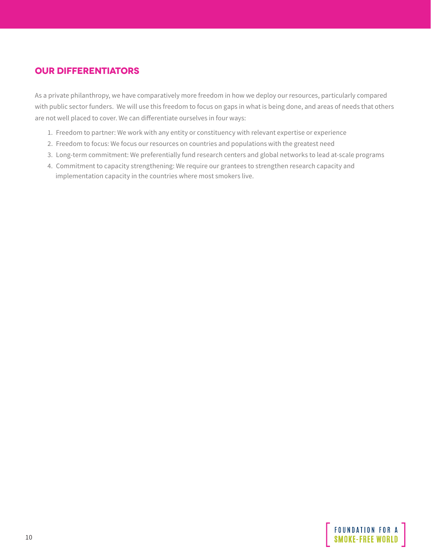## <span id="page-9-0"></span>**OUR DIFFERENTIATORS**

As a private philanthropy, we have comparatively more freedom in how we deploy our resources, particularly compared with public sector funders. We will use this freedom to focus on gaps in what is being done, and areas of needs that others are not well placed to cover. We can differentiate ourselves in four ways:

- 1. Freedom to partner: We work with any entity or constituency with relevant expertise or experience
- 2. Freedom to focus: We focus our resources on countries and populations with the greatest need
- 3. Long-term commitment: We preferentially fund research centers and global networks to lead at-scale programs
- 4. Commitment to capacity strengthening: We require our grantees to strengthen research capacity and implementation capacity in the countries where most smokers live.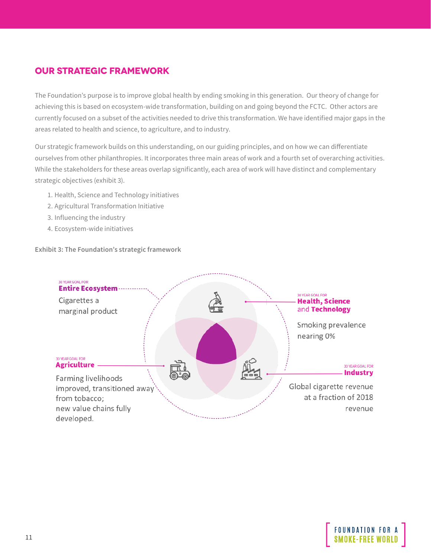## <span id="page-10-0"></span>**OUR STRATEGIC FRAMEWORK**

The Foundation's purpose is to improve global health by ending smoking in this generation. Our theory of change for achieving this is based on ecosystem-wide transformation, building on and going beyond the FCTC. Other actors are currently focused on a subset of the activities needed to drive this transformation. We have identified major gaps in the areas related to health and science, to agriculture, and to industry.

Our strategic framework builds on this understanding, on our guiding principles, and on how we can differentiate ourselves from other philanthropies. It incorporates three main areas of work and a fourth set of overarching activities. While the stakeholders for these areas overlap significantly, each area of work will have distinct and complementary strategic objectives (exhibit 3).

- 1. Health, Science and Technology initiatives
- 2. Agricultural Transformation Initiative
- 3. Influencing the industry
- 4. Ecosystem-wide initiatives

**Exhibit 3: The Foundation's strategic framework**



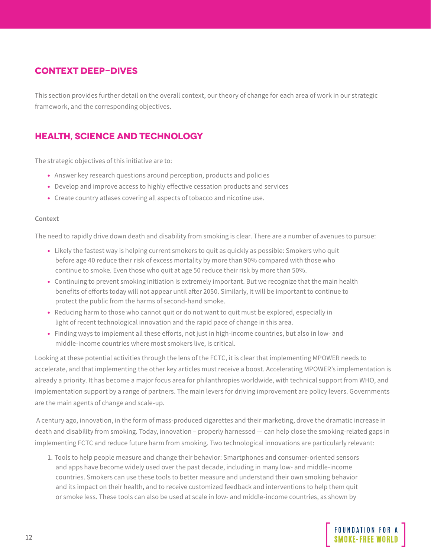## <span id="page-11-0"></span>**CONTEXT DEEP-DIVES**

This section provides further detail on the overall context, our theory of change for each area of work in our strategic framework, and the corresponding objectives.

## **HEALTH, SCIENCE AND TECHNOLOGY**

The strategic objectives of this initiative are to:

- Answer key research questions around perception, products and policies
- Develop and improve access to highly effective cessation products and services
- Create country atlases covering all aspects of tobacco and nicotine use.

#### **Context**

The need to rapidly drive down death and disability from smoking is clear. There are a number of avenues to pursue:

- Likely the fastest way is helping current smokers to quit as quickly as possible: Smokers who quit before age 40 reduce their risk of excess mortality by more than 90% compared with those who continue to smoke. Even those who quit at age 50 reduce their risk by more than 50%.
- Continuing to prevent smoking initiation is extremely important. But we recognize that the main health benefits of efforts today will not appear until after 2050. Similarly, it will be important to continue to protect the public from the harms of second-hand smoke.
- Reducing harm to those who cannot quit or do not want to quit must be explored, especially in light of recent technological innovation and the rapid pace of change in this area.
- Finding ways to implement all these efforts, not just in high-income countries, but also in low- and middle-income countries where most smokers live, is critical.

Looking at these potential activities through the lens of the FCTC, it is clear that implementing MPOWER needs to accelerate, and that implementing the other key articles must receive a boost. Accelerating MPOWER's implementation is already a priority. It has become a major focus area for philanthropies worldwide, with technical support from WHO, and implementation support by a range of partners. The main levers for driving improvement are policy levers. Governments are the main agents of change and scale-up.

 A century ago, innovation, in the form of mass-produced cigarettes and their marketing, drove the dramatic increase in death and disability from smoking. Today, innovation – properly harnessed — can help close the smoking-related gaps in implementing FCTC and reduce future harm from smoking. Two technological innovations are particularly relevant:

1. Tools to help people measure and change their behavior: Smartphones and consumer-oriented sensors and apps have become widely used over the past decade, including in many low- and middle-income countries. Smokers can use these tools to better measure and understand their own smoking behavior and its impact on their health, and to receive customized feedback and interventions to help them quit or smoke less. These tools can also be used at scale in low- and middle-income countries, as shown by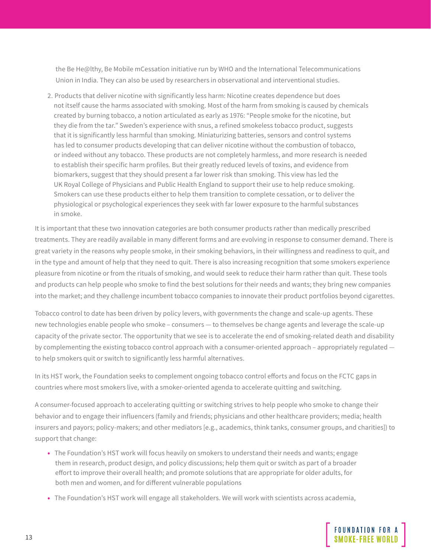the Be He@lthy, Be Mobile mCessation initiative run by WHO and the International Telecommunications Union in India. They can also be used by researchers in observational and interventional studies.

2. Products that deliver nicotine with significantly less harm: Nicotine creates dependence but does not itself cause the harms associated with smoking. Most of the harm from smoking is caused by chemicals created by burning tobacco, a notion articulated as early as 1976: "People smoke for the nicotine, but they die from the tar." Sweden's experience with snus, a refined smokeless tobacco product, suggests that it is significantly less harmful than smoking. Miniaturizing batteries, sensors and control systems has led to consumer products developing that can deliver nicotine without the combustion of tobacco, or indeed without any tobacco. These products are not completely harmless, and more research is needed to establish their specific harm profiles. But their greatly reduced levels of toxins, and evidence from biomarkers, suggest that they should present a far lower risk than smoking. This view has led the UK Royal College of Physicians and Public Health England to support their use to help reduce smoking. Smokers can use these products either to help them transition to complete cessation, or to deliver the physiological or psychological experiences they seek with far lower exposure to the harmful substances in smoke.

It is important that these two innovation categories are both consumer products rather than medically prescribed treatments. They are readily available in many different forms and are evolving in response to consumer demand. There is great variety in the reasons why people smoke, in their smoking behaviors, in their willingness and readiness to quit, and in the type and amount of help that they need to quit. There is also increasing recognition that some smokers experience pleasure from nicotine or from the rituals of smoking, and would seek to reduce their harm rather than quit. These tools and products can help people who smoke to find the best solutions for their needs and wants; they bring new companies into the market; and they challenge incumbent tobacco companies to innovate their product portfolios beyond cigarettes.

Tobacco control to date has been driven by policy levers, with governments the change and scale-up agents. These new technologies enable people who smoke – consumers — to themselves be change agents and leverage the scale-up capacity of the private sector. The opportunity that we see is to accelerate the end of smoking-related death and disability by complementing the existing tobacco control approach with a consumer-oriented approach – appropriately regulated to help smokers quit or switch to significantly less harmful alternatives.

In its HST work, the Foundation seeks to complement ongoing tobacco control efforts and focus on the FCTC gaps in countries where most smokers live, with a smoker-oriented agenda to accelerate quitting and switching.

A consumer-focused approach to accelerating quitting or switching strives to help people who smoke to change their behavior and to engage their influencers (family and friends; physicians and other healthcare providers; media; health insurers and payors; policy-makers; and other mediators [e.g., academics, think tanks, consumer groups, and charities]) to support that change:

- The Foundation's HST work will focus heavily on smokers to understand their needs and wants; engage them in research, product design, and policy discussions; help them quit or switch as part of a broader effort to improve their overall health; and promote solutions that are appropriate for older adults, for both men and women, and for different vulnerable populations
- The Foundation's HST work will engage all stakeholders. We will work with scientists across academia,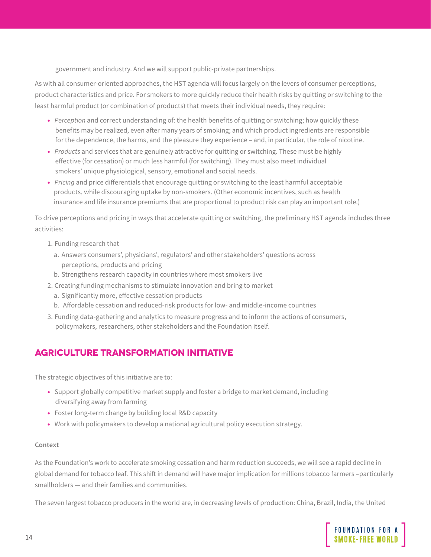<span id="page-13-0"></span>government and industry. And we will support public-private partnerships.

As with all consumer-oriented approaches, the HST agenda will focus largely on the levers of consumer perceptions, product characteristics and price. For smokers to more quickly reduce their health risks by quitting or switching to the least harmful product (or combination of products) that meets their individual needs, they require:

- *Perception* and correct understanding of: the health benefits of quitting or switching; how quickly these benefits may be realized, even after many years of smoking; and which product ingredients are responsible for the dependence, the harms, and the pleasure they experience – and, in particular, the role of nicotine.
- *Products* and services that are genuinely attractive for quitting or switching. These must be highly effective (for cessation) or much less harmful (for switching). They must also meet individual smokers' unique physiological, sensory, emotional and social needs.
- *Pricing* and price differentials that encourage quitting or switching to the least harmful acceptable products, while discouraging uptake by non-smokers. (Other economic incentives, such as health insurance and life insurance premiums that are proportional to product risk can play an important role.)

To drive perceptions and pricing in ways that accelerate quitting or switching, the preliminary HST agenda includes three activities:

- 1. Funding research that
	- a. Answers consumers', physicians', regulators' and other stakeholders' questions across perceptions, products and pricing
	- b. Strengthens research capacity in countries where most smokers live
- 2. Creating funding mechanisms to stimulate innovation and bring to market
	- a. Significantly more, effective cessation products
	- b. Affordable cessation and reduced-risk products for low- and middle-income countries
- 3. Funding data-gathering and analytics to measure progress and to inform the actions of consumers, policymakers, researchers, other stakeholders and the Foundation itself.

## **AGRICULTURE TRANSFORMATION INITIATIVE**

The strategic objectives of this initiative are to:

- Support globally competitive market supply and foster a bridge to market demand, including diversifying away from farming
- Foster long-term change by building local R&D capacity
- Work with policymakers to develop a national agricultural policy execution strategy.

#### **Context**

As the Foundation's work to accelerate smoking cessation and harm reduction succeeds, we will see a rapid decline in global demand for tobacco leaf. This shift in demand will have major implication for millions tobacco farmers –particularly smallholders — and their families and communities.

The seven largest tobacco producers in the world are, in decreasing levels of production: China, Brazil, India, the United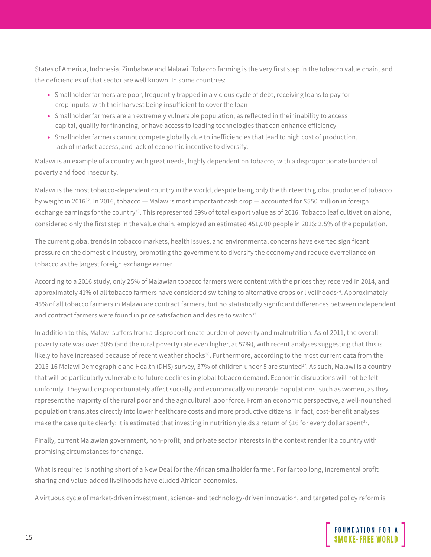States of America, Indonesia, Zimbabwe and Malawi. Tobacco farming is the very first step in the tobacco value chain, and the deficiencies of that sector are well known. In some countries:

- Smallholder farmers are poor, frequently trapped in a vicious cycle of debt, receiving loans to pay for crop inputs, with their harvest being insufficient to cover the loan
- Smallholder farmers are an extremely vulnerable population, as reflected in their inability to access capital, qualify for financing, or have access to leading technologies that can enhance efficiency
- Smallholder farmers cannot compete globally due to inefficiencies that lead to high cost of production, lack of market access, and lack of economic incentive to diversify.

Malawi is an example of a country with great needs, highly dependent on tobacco, with a disproportionate burden of poverty and food insecurity.

Malawi is the most tobacco-dependent country in the world, despite being only the thirteenth global producer of tobacco by weight in 201632. In 2016, tobacco — Malawi's most important cash crop — accounted for \$550 million in foreign exchange earnings for the country<sup>33</sup>. This represented 59% of total export value as of 2016. Tobacco leaf cultivation alone, considered only the first step in the value chain, employed an estimated 451,000 people in 2016: 2.5% of the population.

The current global trends in tobacco markets, health issues, and environmental concerns have exerted significant pressure on the domestic industry, prompting the government to diversify the economy and reduce overreliance on tobacco as the largest foreign exchange earner.

According to a 2016 study, only 25% of Malawian tobacco farmers were content with the prices they received in 2014, and approximately 41% of all tobacco farmers have considered switching to alternative crops or livelihoods<sup>34</sup>. Approximately 45% of all tobacco farmers in Malawi are contract farmers, but no statistically significant differences between independent and contract farmers were found in price satisfaction and desire to switch<sup>35</sup>.

In addition to this, Malawi suffers from a disproportionate burden of poverty and malnutrition. As of 2011, the overall poverty rate was over 50% (and the rural poverty rate even higher, at 57%), with recent analyses suggesting that this is likely to have increased because of recent weather shocks $36$ . Furthermore, according to the most current data from the 2015-16 Malawi Demographic and Health (DHS) survey, 37% of children under 5 are stunted<sup>37</sup>. As such, Malawi is a country that will be particularly vulnerable to future declines in global tobacco demand. Economic disruptions will not be felt uniformly. They will disproportionately affect socially and economically vulnerable populations, such as women, as they represent the majority of the rural poor and the agricultural labor force. From an economic perspective, a well-nourished population translates directly into lower healthcare costs and more productive citizens. In fact, cost-benefit analyses make the case quite clearly: It is estimated that investing in nutrition yields a return of \$16 for every dollar spent<sup>38</sup>.

Finally, current Malawian government, non-profit, and private sector interests in the context render it a country with promising circumstances for change.

What is required is nothing short of a New Deal for the African smallholder farmer. For far too long, incremental profit sharing and value-added livelihoods have eluded African economies.

A virtuous cycle of market-driven investment, science- and technology-driven innovation, and targeted policy reform is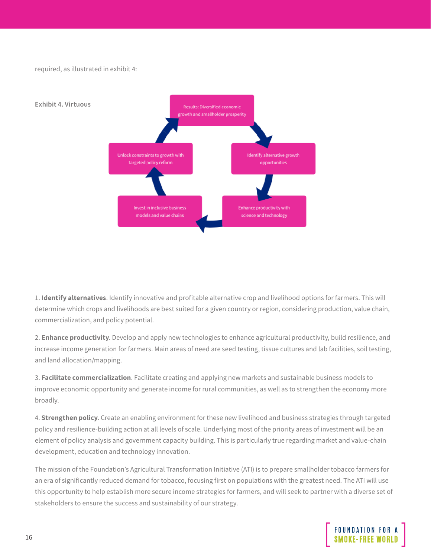required, as illustrated in exhibit 4:



1. **Identify alternatives**. Identify innovative and profitable alternative crop and livelihood options for farmers. This will determine which crops and livelihoods are best suited for a given country or region, considering production, value chain, commercialization, and policy potential.

2. **Enhance productivity**. Develop and apply new technologies to enhance agricultural productivity, build resilience, and increase income generation for farmers. Main areas of need are seed testing, tissue cultures and lab facilities, soil testing, and land allocation/mapping.

3. **Facilitate commercialization**. Facilitate creating and applying new markets and sustainable business models to improve economic opportunity and generate income for rural communities, as well as to strengthen the economy more broadly.

4. **Strengthen policy**. Create an enabling environment for these new livelihood and business strategies through targeted policy and resilience-building action at all levels of scale. Underlying most of the priority areas of investment will be an element of policy analysis and government capacity building. This is particularly true regarding market and value-chain development, education and technology innovation.

The mission of the Foundation's Agricultural Transformation Initiative (ATI) is to prepare smallholder tobacco farmers for an era of significantly reduced demand for tobacco, focusing first on populations with the greatest need. The ATI will use this opportunity to help establish more secure income strategies for farmers, and will seek to partner with a diverse set of stakeholders to ensure the success and sustainability of our strategy.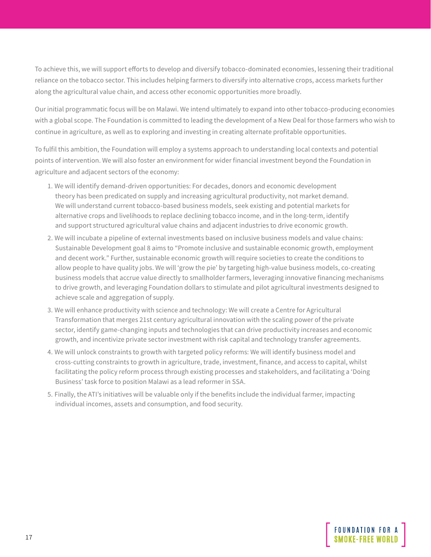To achieve this, we will support efforts to develop and diversify tobacco-dominated economies, lessening their traditional reliance on the tobacco sector. This includes helping farmers to diversify into alternative crops, access markets further along the agricultural value chain, and access other economic opportunities more broadly.

Our initial programmatic focus will be on Malawi. We intend ultimately to expand into other tobacco-producing economies with a global scope. The Foundation is committed to leading the development of a New Deal for those farmers who wish to continue in agriculture, as well as to exploring and investing in creating alternate profitable opportunities.

To fulfil this ambition, the Foundation will employ a systems approach to understanding local contexts and potential points of intervention. We will also foster an environment for wider financial investment beyond the Foundation in agriculture and adjacent sectors of the economy:

- 1. We will identify demand-driven opportunities: For decades, donors and economic development theory has been predicated on supply and increasing agricultural productivity, not market demand. We will understand current tobacco-based business models, seek existing and potential markets for alternative crops and livelihoods to replace declining tobacco income, and in the long-term, identify and support structured agricultural value chains and adjacent industries to drive economic growth.
- 2. We will incubate a pipeline of external investments based on inclusive business models and value chains: Sustainable Development goal 8 aims to "Promote inclusive and sustainable economic growth, employment and decent work." Further, sustainable economic growth will require societies to create the conditions to allow people to have quality jobs. We will 'grow the pie' by targeting high-value business models, co-creating business models that accrue value directly to smallholder farmers, leveraging innovative financing mechanisms to drive growth, and leveraging Foundation dollars to stimulate and pilot agricultural investments designed to achieve scale and aggregation of supply.
- 3. We will enhance productivity with science and technology: We will create a Centre for Agricultural Transformation that merges 21st century agricultural innovation with the scaling power of the private sector, identify game-changing inputs and technologies that can drive productivity increases and economic growth, and incentivize private sector investment with risk capital and technology transfer agreements.
- 4. We will unlock constraints to growth with targeted policy reforms: We will identify business model and cross-cutting constraints to growth in agriculture, trade, investment, finance, and access to capital, whilst facilitating the policy reform process through existing processes and stakeholders, and facilitating a 'Doing Business' task force to position Malawi as a lead reformer in SSA.
- 5. Finally, the ATI's initiatives will be valuable only if the benefits include the individual farmer, impacting individual incomes, assets and consumption, and food security.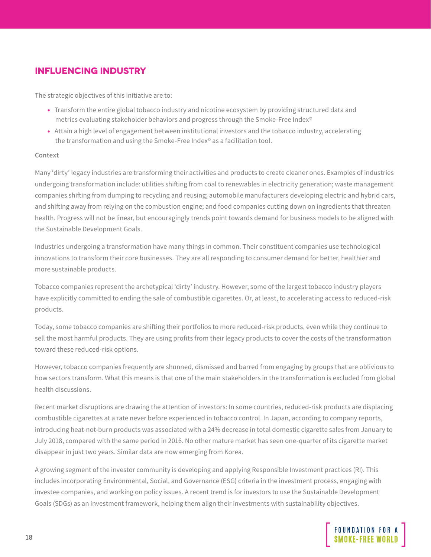## <span id="page-17-0"></span>**INFLUENCING INDUSTRY**

The strategic objectives of this initiative are to:

- Transform the entire global tobacco industry and nicotine ecosystem by providing structured data and metrics evaluating stakeholder behaviors and progress through the Smoke-Free Index<sup>®</sup>
- Attain a high level of engagement between institutional investors and the tobacco industry, accelerating the transformation and using the Smoke-Free Index© as a facilitation tool.

#### **Context**

Many 'dirty' legacy industries are transforming their activities and products to create cleaner ones. Examples of industries undergoing transformation include: utilities shifting from coal to renewables in electricity generation; waste management companies shifting from dumping to recycling and reusing; automobile manufacturers developing electric and hybrid cars, and shifting away from relying on the combustion engine; and food companies cutting down on ingredients that threaten health. Progress will not be linear, but encouragingly trends point towards demand for business models to be aligned with the Sustainable Development Goals.

Industries undergoing a transformation have many things in common. Their constituent companies use technological innovations to transform their core businesses. They are all responding to consumer demand for better, healthier and more sustainable products.

Tobacco companies represent the archetypical 'dirty' industry. However, some of the largest tobacco industry players have explicitly committed to ending the sale of combustible cigarettes. Or, at least, to accelerating access to reduced-risk products.

Today, some tobacco companies are shifting their portfolios to more reduced-risk products, even while they continue to sell the most harmful products. They are using profits from their legacy products to cover the costs of the transformation toward these reduced-risk options.

However, tobacco companies frequently are shunned, dismissed and barred from engaging by groups that are oblivious to how sectors transform. What this means is that one of the main stakeholders in the transformation is excluded from global health discussions.

Recent market disruptions are drawing the attention of investors: In some countries, reduced-risk products are displacing combustible cigarettes at a rate never before experienced in tobacco control. In Japan, according to company reports, introducing heat-not-burn products was associated with a 24% decrease in total domestic cigarette sales from January to July 2018, compared with the same period in 2016. No other mature market has seen one-quarter of its cigarette market disappear in just two years. Similar data are now emerging from Korea.

A growing segment of the investor community is developing and applying Responsible Investment practices (RI). This includes incorporating Environmental, Social, and Governance (ESG) criteria in the investment process, engaging with investee companies, and working on policy issues. A recent trend is for investors to use the Sustainable Development Goals (SDGs) as an investment framework, helping them align their investments with sustainability objectives.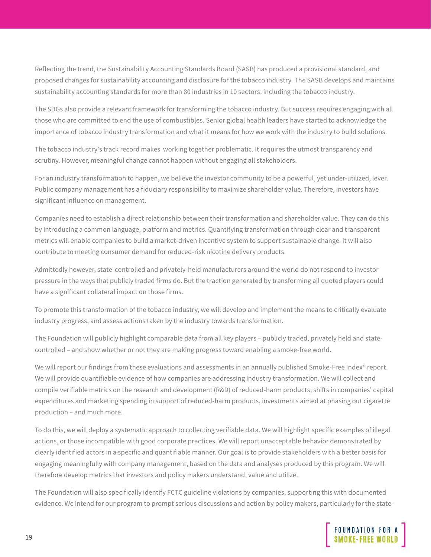Reflecting the trend, the Sustainability Accounting Standards Board (SASB) has produced a provisional standard, and proposed changes for sustainability accounting and disclosure for the tobacco industry. The SASB develops and maintains sustainability accounting standards for more than 80 industries in 10 sectors, including the tobacco industry.

The SDGs also provide a relevant framework for transforming the tobacco industry. But success requires engaging with all those who are committed to end the use of combustibles. Senior global health leaders have started to acknowledge the importance of tobacco industry transformation and what it means for how we work with the industry to build solutions.

The tobacco industry's track record makes working together problematic. It requires the utmost transparency and scrutiny. However, meaningful change cannot happen without engaging all stakeholders.

For an industry transformation to happen, we believe the investor community to be a powerful, yet under-utilized, lever. Public company management has a fiduciary responsibility to maximize shareholder value. Therefore, investors have significant influence on management.

Companies need to establish a direct relationship between their transformation and shareholder value. They can do this by introducing a common language, platform and metrics. Quantifying transformation through clear and transparent metrics will enable companies to build a market-driven incentive system to support sustainable change. It will also contribute to meeting consumer demand for reduced-risk nicotine delivery products.

Admittedly however, state-controlled and privately-held manufacturers around the world do not respond to investor pressure in the ways that publicly traded firms do. But the traction generated by transforming all quoted players could have a significant collateral impact on those firms.

To promote this transformation of the tobacco industry, we will develop and implement the means to critically evaluate industry progress, and assess actions taken by the industry towards transformation.

The Foundation will publicly highlight comparable data from all key players – publicly traded, privately held and statecontrolled – and show whether or not they are making progress toward enabling a smoke-free world.

We will report our findings from these evaluations and assessments in an annually published Smoke-Free Index<sup>®</sup> report. We will provide quantifiable evidence of how companies are addressing industry transformation. We will collect and compile verifiable metrics on the research and development (R&D) of reduced-harm products, shifts in companies' capital expenditures and marketing spending in support of reduced-harm products, investments aimed at phasing out cigarette production – and much more.

To do this, we will deploy a systematic approach to collecting verifiable data. We will highlight specific examples of illegal actions, or those incompatible with good corporate practices. We will report unacceptable behavior demonstrated by clearly identified actors in a specific and quantifiable manner. Our goal is to provide stakeholders with a better basis for engaging meaningfully with company management, based on the data and analyses produced by this program. We will therefore develop metrics that investors and policy makers understand, value and utilize.

The Foundation will also specifically identify FCTC guideline violations by companies, supporting this with documented evidence. We intend for our program to prompt serious discussions and action by policy makers, particularly for the state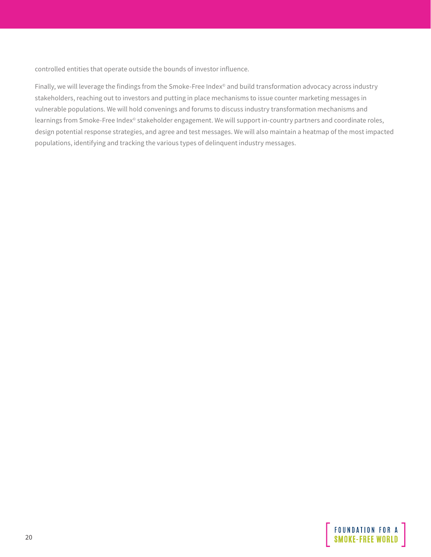controlled entities that operate outside the bounds of investor influence.

Finally, we will leverage the findings from the Smoke-Free Index<sup>®</sup> and build transformation advocacy across industry stakeholders, reaching out to investors and putting in place mechanisms to issue counter marketing messages in vulnerable populations. We will hold convenings and forums to discuss industry transformation mechanisms and learnings from Smoke-Free Index<sup>®</sup> stakeholder engagement. We will support in-country partners and coordinate roles, design potential response strategies, and agree and test messages. We will also maintain a heatmap of the most impacted populations, identifying and tracking the various types of delinquent industry messages.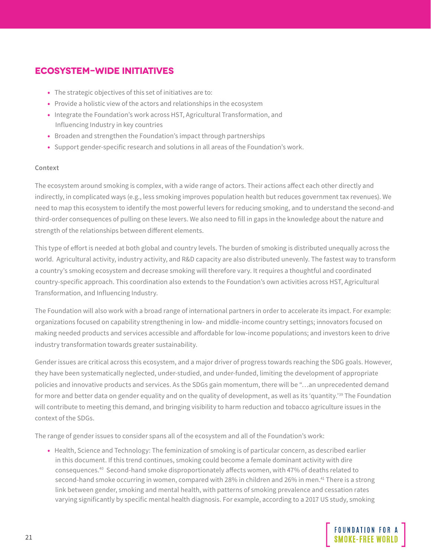## <span id="page-20-0"></span>**ECOSYSTEM-WIDE INITIATIVES**

- The strategic objectives of this set of initiatives are to:
- Provide a holistic view of the actors and relationships in the ecosystem
- Integrate the Foundation's work across HST, Agricultural Transformation, and Influencing Industry in key countries
- Broaden and strengthen the Foundation's impact through partnerships
- Support gender-specific research and solutions in all areas of the Foundation's work.

#### **Context**

The ecosystem around smoking is complex, with a wide range of actors. Their actions affect each other directly and indirectly, in complicated ways (e.g., less smoking improves population health but reduces government tax revenues). We need to map this ecosystem to identify the most powerful levers for reducing smoking, and to understand the second-and third-order consequences of pulling on these levers. We also need to fill in gaps in the knowledge about the nature and strength of the relationships between different elements.

This type of effort is needed at both global and country levels. The burden of smoking is distributed unequally across the world. Agricultural activity, industry activity, and R&D capacity are also distributed unevenly. The fastest way to transform a country's smoking ecosystem and decrease smoking will therefore vary. It requires a thoughtful and coordinated country-specific approach. This coordination also extends to the Foundation's own activities across HST, Agricultural Transformation, and Influencing Industry.

The Foundation will also work with a broad range of international partners in order to accelerate its impact. For example: organizations focused on capability strengthening in low- and middle-income country settings; innovators focused on making needed products and services accessible and affordable for low-income populations; and investors keen to drive industry transformation towards greater sustainability.

Gender issues are critical across this ecosystem, and a major driver of progress towards reaching the SDG goals. However, they have been systematically neglected, under-studied, and under-funded, limiting the development of appropriate policies and innovative products and services. As the SDGs gain momentum, there will be "…an unprecedented demand for more and better data on gender equality and on the quality of development, as well as its 'quantity.'39 The Foundation will contribute to meeting this demand, and bringing visibility to harm reduction and tobacco agriculture issues in the context of the SDGs.

The range of gender issues to consider spans all of the ecosystem and all of the Foundation's work:

• Health, Science and Technology: The feminization of smoking is of particular concern, as described earlier in this document. If this trend continues, smoking could become a female dominant activity with dire consequences.40 Second-hand smoke disproportionately affects women, with 47% of deaths related to second-hand smoke occurring in women, compared with 28% in children and 26% in men.<sup>41</sup> There is a strong link between gender, smoking and mental health, with patterns of smoking prevalence and cessation rates varying significantly by specific mental health diagnosis. For example, according to a 2017 US study, smoking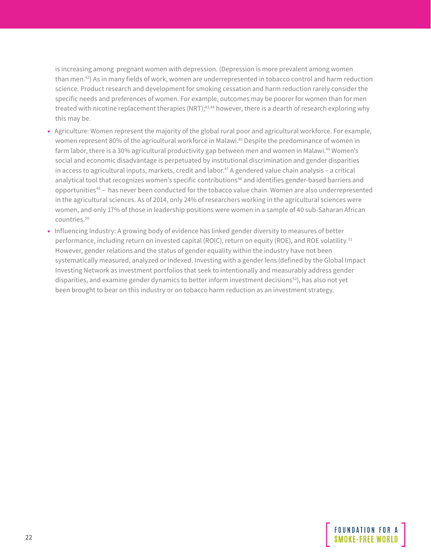is increasing among pregnant women with depression. (Depression is more prevalent among women than men.42) As in many fields of work, women are underrepresented in tobacco control and harm reduction science. Product research and development for smoking cessation and harm reduction rarely consider the specific needs and preferences of women. For example, outcomes may be poorer for women than for men treated with nicotine replacement therapies (NRT);<sup>43,44</sup> however, there is a dearth of research exploring why this may be.

- Agriculture: Women represent the majority of the global rural poor and agricultural workforce. For example, women represent 80% of the agricultural workforce in Malawi.45 Despite the predominance of women in farm labor, there is a 30% agricultural productivity gap between men and women in Malawi.<sup>46</sup> Women's social and economic disadvantage is perpetuated by institutional discrimination and gender disparities in access to agricultural inputs, markets, credit and labor.<sup>47</sup> A gendered value chain analysis - a critical analytical tool that recognizes women's specific contributions<sup>48</sup> and identifies gender-based barriers and opportunities49 – has never been conducted for the tobacco value chain. Women are also underrepresented in the agricultural sciences. As of 2014, only 24% of researchers working in the agricultural sciences were women, and only 17% of those in leadership positions were women in a sample of 40 sub-Saharan African countries.50
- Influencing Industry: A growing body of evidence has linked gender diversity to measures of better performance, including return on invested capital (ROIC), return on equity (ROE), and ROE volatility.<sup>51</sup> However, gender relations and the status of gender equality within the industry have not been systematically measured, analyzed or indexed. Investing with a gender lens (defined by the Global Impact Investing Network as investment portfolios that seek to intentionally and measurably address gender disparities, and examine gender dynamics to better inform investment decisions52), has also not yet been brought to bear on this industry or on tobacco harm reduction as an investment strategy.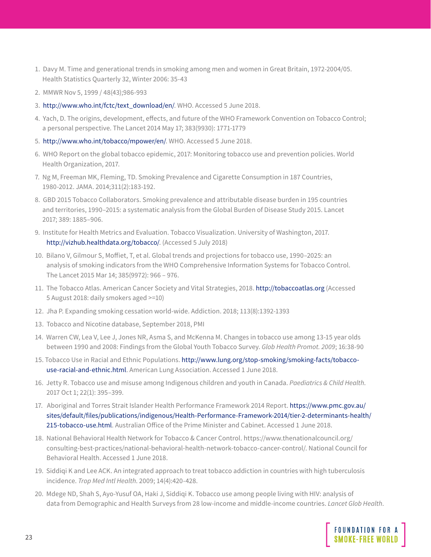- 1. Davy M. Time and generational trends in smoking among men and women in Great Britain, 1972-2004/05. Health Statistics Quarterly 32, Winter 2006: 35-43
- 2. MMWR Nov 5, 1999 / 48(43);986-993
- 3. [http://www.who.int/fctc/text\\_download/en/](https://www.who.int/fctc/text_download/en/). WHO. Accessed 5 June 2018.
- 4. Yach, D. The origins, development, effects, and future of the WHO Framework Convention on Tobacco Control; a personal perspective. The Lancet 2014 May 17; 383(9930): 1771-1779
- 5. [http://www.who.int/tobacco/mpower/en/](https://www.who.int/tobacco/mpower/en/). WHO. Accessed 5 June 2018.
- 6. WHO Report on the global tobacco epidemic, 2017: Monitoring tobacco use and prevention policies. World Health Organization, 2017.
- 7. Ng M, Freeman MK, Fleming, TD. Smoking Prevalence and Cigarette Consumption in 187 Countries, 1980-2012. JAMA. 2014;311(2):183-192.
- 8. GBD 2015 Tobacco Collaborators. Smoking prevalence and attributable disease burden in 195 countries and territories, 1990–2015: a systematic analysis from the Global Burden of Disease Study 2015. Lancet 2017; 389: 1885–906.
- 9. Institute for Health Metrics and Evaluation. Tobacco Visualization. University of Washington, 2017. [http://vizhub.healthdata.org/tobacco/](https://vizhub.healthdata.org/tobacco/). (Accessed 5 July 2018)
- 10. Bilano V, Gilmour S, Moffiet, T, et al. Global trends and projections for tobacco use, 1990–2025: an analysis of smoking indicators from the WHO Comprehensive Information Systems for Tobacco Control. The Lancet 2015 Mar 14; 385(9972): 966 – 976.
- 11. The Tobacco Atlas. American Cancer Society and Vital Strategies, 2018. [http://tobaccoatlas.org](https://tobaccoatlas.org) (Accessed 5 August 2018: daily smokers aged >=10)
- 12. Jha P. Expanding smoking cessation world-wide. Addiction. 2018; 113(8):1392-1393
- 13. Tobacco and Nicotine database, September 2018, PMI
- 14. Warren CW, Lea V, Lee J, Jones NR, Asma S, and McKenna M. Changes in tobacco use among 13-15 year olds between 1990 and 2008: Findings from the Global Youth Tobacco Survey. *Glob Health Promot. 2009*; 16:38-90
- 15. Tobacco Use in Racial and Ethnic Populations. [http://www.lung.org/stop-smoking/smoking-facts/tobacco](https://www.lung.org/stop-smoking/smoking-facts/tobacco-use-racial-and-ethnic.html)[use-racial-and-ethnic.html](https://www.lung.org/stop-smoking/smoking-facts/tobacco-use-racial-and-ethnic.html). American Lung Association. Accessed 1 June 2018.
- 16. Jetty R. Tobacco use and misuse among Indigenous children and youth in Canada. *Paediatrics & Child Health*. 2017 Oct 1; 22(1): 395–399.
- 17. Aboriginal and Torres Strait Islander Health Performance Framework 2014 Report. [https://www.pmc.gov.au/](https://www.pmc.gov.au/sites/default/files/publications/indigenous/Health-Performance-Framework-2014/tier-2-determinants-health/215-tobacco-use.html) [sites/default/files/publications/indigenous/Health-Performance-Framework-2014/tier-2-determinants-health/](https://www.pmc.gov.au/sites/default/files/publications/indigenous/Health-Performance-Framework-2014/tier-2-determinants-health/215-tobacco-use.html) [215-tobacco-use.html](https://www.pmc.gov.au/sites/default/files/publications/indigenous/Health-Performance-Framework-2014/tier-2-determinants-health/215-tobacco-use.html). Australian Office of the Prime Minister and Cabinet. Accessed 1 June 2018.
- 18. National Behavioral Health Network for Tobacco & Cancer Control. https://www.thenationalcouncil.org/ consulting-best-practices/national-behavioral-health-network-tobacco-cancer-control/. National Council for Behavioral Health. Accessed 1 June 2018.
- 19. Siddiqi K and Lee ACK. An integrated approach to treat tobacco addiction in countries with high tuberculosis incidence. *Trop Med Intl Health*. 2009; 14(4):420-428.
- 20. Mdege ND, Shah S, Ayo-Yusuf OA, Haki J, Siddiqi K. Tobacco use among people living with HIV: analysis of data from Demographic and Health Surveys from 28 low-income and middle-income countries. *Lancet Glob Health*.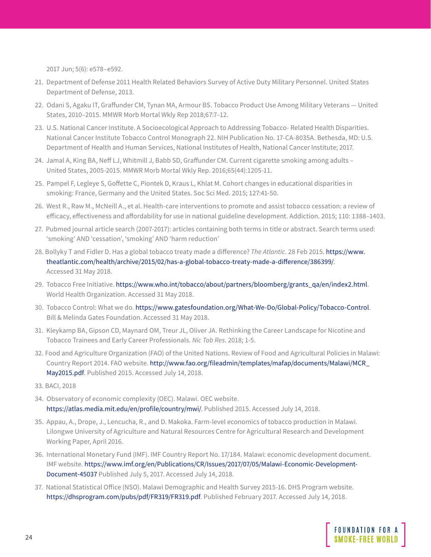2017 Jun; 5(6): e578–e592.

- 21. Department of Defense 2011 Health Related Behaviors Survey of Active Duty Military Personnel. United States Department of Defense, 2013.
- 22. Odani S, Agaku IT, Graffunder CM, Tynan MA, Armour BS. Tobacco Product Use Among Military Veterans United States, 2010–2015. MMWR Morb Mortal Wkly Rep 2018;67:7–12.
- 23. U.S. National Cancer Institute. A Socioecological Approach to Addressing Tobacco- Related Health Disparities. National Cancer Institute Tobacco Control Monograph 22. NIH Publication No. 17-CA-8035A. Bethesda, MD: U.S. Department of Health and Human Services, National Institutes of Health, National Cancer Institute; 2017.
- 24. Jamal A, King BA, Neff LJ, Whitmill J, Babb SD, Graffunder CM. Current cigarette smoking among adults United States, 2005-2015. MMWR Morb Mortal Wkly Rep. 2016;65(44):1205-11.
- 25. Pampel F, Legleye S, Goffette C, Piontek D, Kraus L, Khlat M. Cohort changes in educational disparities in smoking: France, Germany and the United States. Soc Sci Med. 2015; 127:41-50.
- 26. West R., Raw M., McNeill A., et al. Health-care interventions to promote and assist tobacco cessation: a review of efficacy, effectiveness and affordability for use in national guideline development. Addiction. 2015; 110: 1388–1403.
- 27. Pubmed journal article search (2007-2017): articles containing both terms in title or abstract. Search terms used: 'smoking' AND 'cessation', 'smoking' AND 'harm reduction'
- 28. Bollyky T and Fidler D. Has a global tobacco treaty made a difference? *The Atlantic*. 28 Feb 2015. [https://www.](https://www.theatlantic.com/health/archive/2015/02/has-a-global-tobacco-treaty-made-a-difference/386) [theatlantic.com/health/archive/2015/02/has-a-global-tobacco-treaty-made-a-difference/386399/.](https://www.theatlantic.com/health/archive/2015/02/has-a-global-tobacco-treaty-made-a-difference/386) Accessed 31 May 2018.
- 29. Tobacco Free Initiative. [https://www.who.int/tobacco/about/partners/bloomberg/grants\\_qa/en/index2.html](https://www.who.int/tobacco/about/partners/bloomberg/grants_qa/en/index2.html). World Health Organization. Accessed 31 May 2018.
- 30. Tobacco Control: What we do. <https://www.gatesfoundation.org/What-We-Do/Global-Policy/Tobacco-Control>. Bill & Melinda Gates Foundation. Accessed 31 May 2018.
- 31. Kleykamp BA, Gipson CD, Maynard OM, Treur JL, Oliver JA. Rethinking the Career Landscape for Nicotine and Tobacco Trainees and Early Career Professionals. *Nic Tob Res*. 2018; 1-5.
- 32. Food and Agriculture Organization (FAO) of the United Nations. Review of Food and Agricultural Policies in Malawi: Country Report 2014. FAO website. [http://www.fao.org/fileadmin/templates/mafap/documents/Malawi/MCR\\_](http://www.fao.org/fileadmin/templates/mafap/documents/Malawi/MCR_May2015.pdf) [May2015.pdf](http://www.fao.org/fileadmin/templates/mafap/documents/Malawi/MCR_May2015.pdf). Published 2015. Accessed July 14, 2018.
- 33. BACI, 2018
- 34. Observatory of economic complexity (OEC). Malawi. OEC website. [https://atlas.media.mit.edu/en/profile/country/mwi/.](https://atlas.media.mit.edu/en/profile/country/mwi/) Published 2015. Accessed July 14, 2018.
- 35. Appau, A., Drope, J., Lencucha, R., and D. Makoka. Farm-level economics of tobacco production in Malawi. Lilongwe University of Agriculture and Natural Resources Centre for Agricultural Research and Development Working Paper, April 2016.
- 36. International Monetary Fund (IMF). IMF Country Report No. 17/184. Malawi: economic development document. IMF website. [https://www.imf.org/en/Publications/CR/Issues/2017/07/05/Malawi-Economic-Development-](https://www.imf.org/en/Publications/CR/Issues/2017/07/05/Malawi-Economic-Development-Document-45037)[Document-45037](https://www.imf.org/en/Publications/CR/Issues/2017/07/05/Malawi-Economic-Development-Document-45037) Published July 5, 2017. Accessed July 14, 2018.
- 37. National Statistical Office (NSO). Malawi Demographic and Health Survey 2015-16. DHS Program website. [https://dhsprogram.com/pubs/pdf/FR319/FR319.pdf.](https://dhsprogram.com/pubs/pdf/FR319/FR319.pdf) Published February 2017. Accessed July 14, 2018.